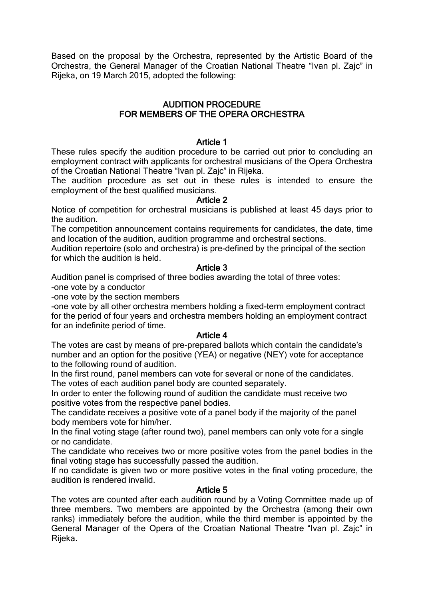Based on the proposal by the Orchestra, represented by the Artistic Board of the Orchestra, the General Manager of the Croatian National Theatre "Ivan pl. Zajc" in Rijeka, on 19 March 2015, adopted the following:

# AUDITION PROCEDURE FOR MEMBERS OF THE OPERA ORCHESTRA

### Article 1

These rules specify the audition procedure to be carried out prior to concluding an employment contract with applicants for orchestral musicians of the Opera Orchestra of the Croatian National Theatre "Ivan pl. Zajc" in Rijeka.

The audition procedure as set out in these rules is intended to ensure the employment of the best qualified musicians.

### Article 2

Notice of competition for orchestral musicians is published at least 45 days prior to the audition.

The competition announcement contains requirements for candidates, the date, time and location of the audition, audition programme and orchestral sections.

Audition repertoire (solo and orchestra) is pre-defined by the principal of the section for which the audition is held.

### Article 3

Audition panel is comprised of three bodies awarding the total of three votes:

-one vote by a conductor

-one vote by the section members

-one vote by all other orchestra members holding a fixed-term employment contract for the period of four years and orchestra members holding an employment contract for an indefinite period of time.

### Article 4

The votes are cast by means of pre-prepared ballots which contain the candidate's number and an option for the positive (YEA) or negative (NEY) vote for acceptance to the following round of audition.

In the first round, panel members can vote for several or none of the candidates. The votes of each audition panel body are counted separately.

In order to enter the following round of audition the candidate must receive two positive votes from the respective panel bodies.

The candidate receives a positive vote of a panel body if the majority of the panel body members vote for him/her.

In the final voting stage (after round two), panel members can only vote for a single or no candidate.

The candidate who receives two or more positive votes from the panel bodies in the final voting stage has successfully passed the audition.

If no candidate is given two or more positive votes in the final voting procedure, the audition is rendered invalid.

### Article 5

The votes are counted after each audition round by a Voting Committee made up of three members. Two members are appointed by the Orchestra (among their own ranks) immediately before the audition, while the third member is appointed by the General Manager of the Opera of the Croatian National Theatre "Ivan pl. Zajc" in Rijeka.